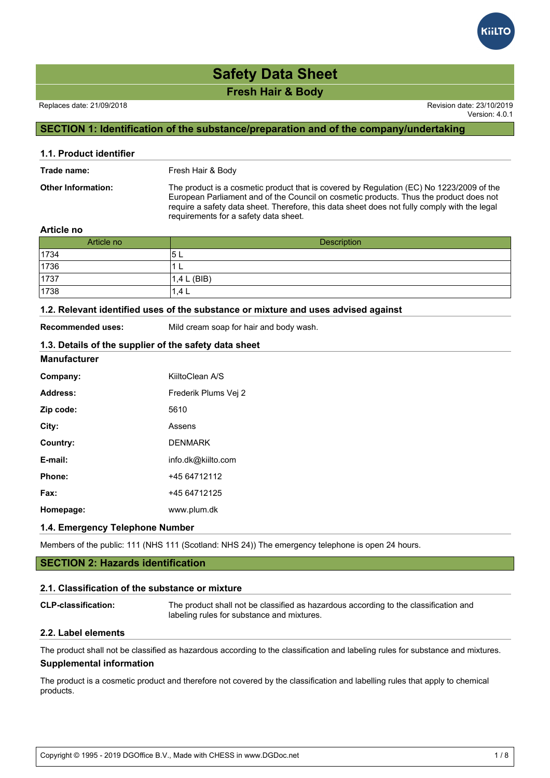#### Replaces date: 21/09/2018 Revision date: 23/10/2019

Version: 4.0.1

# **SECTION 1: Identification of the substance/preparation and of the company/undertaking**

| 1.1. Product identifier   |                                                                                                                                                                                                                                                                                                                             |
|---------------------------|-----------------------------------------------------------------------------------------------------------------------------------------------------------------------------------------------------------------------------------------------------------------------------------------------------------------------------|
| Trade name:               | Fresh Hair & Body                                                                                                                                                                                                                                                                                                           |
| <b>Other Information:</b> | The product is a cosmetic product that is covered by Regulation (EC) No 1223/2009 of the<br>European Parliament and of the Council on cosmetic products. Thus the product does not<br>require a safety data sheet. Therefore, this data sheet does not fully comply with the legal<br>requirements for a safety data sheet. |
|                           |                                                                                                                                                                                                                                                                                                                             |

#### **Article no**

| Article no | <b>Description</b> |
|------------|--------------------|
| 1734       | E<br>ວ ∟           |
| 1736       | −                  |
| 1737       | 1,4 L (BIB)        |
| 1738       | 1.4 L              |

#### **1.2. Relevant identified uses of the substance or mixture and uses advised against**

**Recommended uses:** Mild cream soap for hair and body wash.

### **1.3. Details of the supplier of the safety data sheet**

#### **Manufacturer**

| Company:  | KiiltoClean A/S      |
|-----------|----------------------|
| Address:  | Frederik Plums Vei 2 |
| Zip code: | 5610                 |
| City:     | Assens               |
| Country:  | <b>DENMARK</b>       |
| E-mail:   | info.dk@kiilto.com   |
| Phone:    | +45 64712112         |
| Fax:      | +45 64712125         |
| Homepage: | www.plum.dk          |

## **1.4. Emergency Telephone Number**

Members of the public: 111 (NHS 111 (Scotland: NHS 24)) The emergency telephone is open 24 hours.

# **SECTION 2: Hazards identification**

#### **2.1. Classification of the substance or mixture**

| <b>CLP-classification:</b> | The product shall not be classified as hazardous according to the classification and |
|----------------------------|--------------------------------------------------------------------------------------|
|                            | labeling rules for substance and mixtures.                                           |

## **2.2. Label elements**

The product shall not be classified as hazardous according to the classification and labeling rules for substance and mixtures. **Supplemental information**

The product is a cosmetic product and therefore not covered by the classification and labelling rules that apply to chemical products.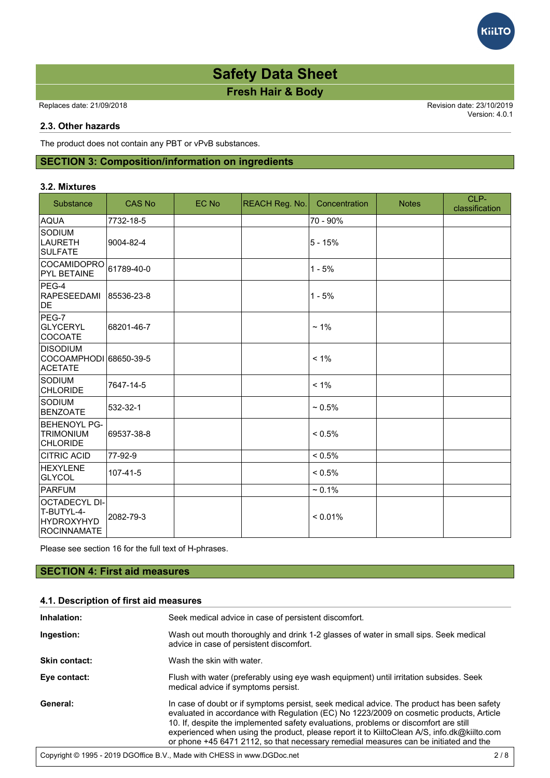Replaces date: 21/09/2018 Revision date: 23/10/2019

Version: 4.0.1

**GilTC** 

## **2.3. Other hazards**

The product does not contain any PBT or vPvB substances.

# **SECTION 3: Composition/information on ingredients**

#### **3.2. Mixtures**

| Substance                                                       | <b>CAS No</b> | EC No | <b>REACH Reg. No.</b> | Concentration | <b>Notes</b> | CLP-<br>classification |
|-----------------------------------------------------------------|---------------|-------|-----------------------|---------------|--------------|------------------------|
| <b>AQUA</b>                                                     | 7732-18-5     |       |                       | 70 - 90%      |              |                        |
| SODIUM<br>LAURETH<br><b>SULFATE</b>                             | 9004-82-4     |       |                       | $5 - 15%$     |              |                        |
| <b>COCAMIDOPRO</b><br><b>PYL BETAINE</b>                        | 61789-40-0    |       |                       | $1 - 5%$      |              |                        |
| $PEG-4$<br>RAPESEEDAMI<br>DE.                                   | 85536-23-8    |       |                       | $1 - 5%$      |              |                        |
| PEG-7<br>GLYCERYL<br>COCOATE                                    | 68201-46-7    |       |                       | $~1\%$        |              |                        |
| <b>DISODIUM</b><br>COCOAMPHODI 68650-39-5<br><b>ACETATE</b>     |               |       |                       | $< 1\%$       |              |                        |
| SODIUM<br><b>CHLORIDE</b>                                       | 7647-14-5     |       |                       | $< 1\%$       |              |                        |
| <b>SODIUM</b><br><b>BENZOATE</b>                                | 532-32-1      |       |                       | $~10.5\%$     |              |                        |
| <b>BEHENOYL PG-</b><br><b>TRIMONIUM</b><br><b>CHLORIDE</b>      | 69537-38-8    |       |                       | $< 0.5\%$     |              |                        |
| <b>CITRIC ACID</b>                                              | 77-92-9       |       |                       | $< 0.5\%$     |              |                        |
| HEXYLENE<br>GLYCOL                                              | 107-41-5      |       |                       | $< 0.5\%$     |              |                        |
| <b>PARFUM</b>                                                   |               |       |                       | $~1\%$        |              |                        |
| OCTADECYL DI-<br>T-BUTYL-4-<br><b>HYDROXYHYD</b><br>ROCINNAMATE | 2082-79-3     |       |                       | $< 0.01\%$    |              |                        |

Please see section 16 for the full text of H-phrases.

# **SECTION 4: First aid measures**

# **4.1. Description of first aid measures**

| Inhalation:          | Seek medical advice in case of persistent discomfort.                                                                                                                                                                                                                                                                                                                                                                                                               |     |
|----------------------|---------------------------------------------------------------------------------------------------------------------------------------------------------------------------------------------------------------------------------------------------------------------------------------------------------------------------------------------------------------------------------------------------------------------------------------------------------------------|-----|
| Ingestion:           | Wash out mouth thoroughly and drink 1-2 glasses of water in small sips. Seek medical<br>advice in case of persistent discomfort.                                                                                                                                                                                                                                                                                                                                    |     |
| <b>Skin contact:</b> | Wash the skin with water.                                                                                                                                                                                                                                                                                                                                                                                                                                           |     |
| Eye contact:         | Flush with water (preferably using eye wash equipment) until irritation subsides. Seek<br>medical advice if symptoms persist.                                                                                                                                                                                                                                                                                                                                       |     |
| General:             | In case of doubt or if symptoms persist, seek medical advice. The product has been safety<br>evaluated in accordance with Regulation (EC) No 1223/2009 on cosmetic products, Article<br>10. If, despite the implemented safety evaluations, problems or discomfort are still<br>experienced when using the product, please report it to KiiltoClean A/S, info.dk@kiilto.com<br>or phone +45 6471 2112, so that necessary remedial measures can be initiated and the |     |
|                      | Copyright © 1995 - 2019 DGOffice B.V., Made with CHESS in www.DGDoc.net                                                                                                                                                                                                                                                                                                                                                                                             | 2/8 |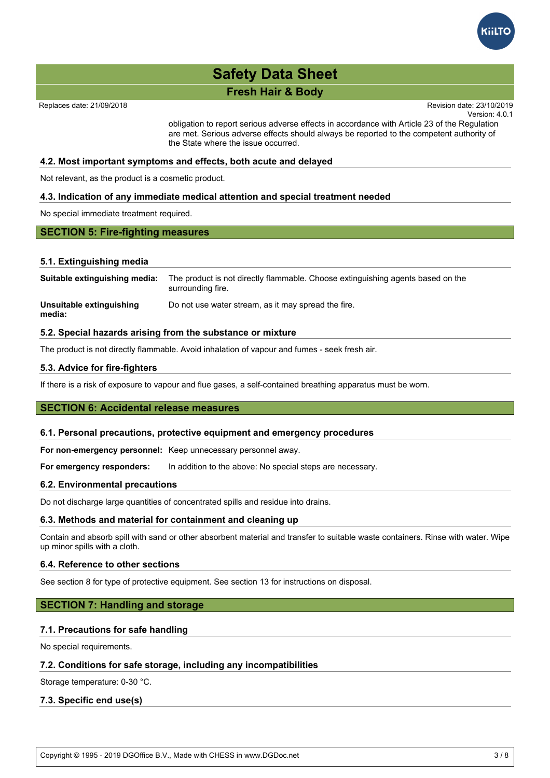

# **Fresh Hair & Body Existence with Regulation (EC) No 1223/2009** on cosmetic products, Article products, Article products, Article products, Article products, Article products, Article products, Article products, Article **Safety Data Sheet**  $10.10$ . If, despite the implemented safety evaluations, problems or discomfort are still are still

Replaces date: 21/09/2018

Version: 4.0.1 Revision date: 23/10/2019 or phone +45 6471 2112, so that necessary remedial measures can be included and the initiated and the initiated and the initiated and the initiated and the initiated and the initiated and the initiated and the initiated an

obligation to report serious adverse effects in accordance with Article 23 of the Regulation are met. Serious adverse effects should always be reported to the competent authority of the State where the issue occurred.

### **4.2. Most important symptoms and effects, both acute and delayed**

Not relevant, as the product is a cosmetic product.

### **4.3. Indication of any immediate medical attention and special treatment needed**

No special immediate treatment required.

### **SECTION 5: Fire-fighting measures**

#### **5.1. Extinguishing media**

| Suitable extinguishing media:      | The product is not directly flammable. Choose extinguishing agents based on the<br>surrounding fire. |
|------------------------------------|------------------------------------------------------------------------------------------------------|
| Unsuitable extinguishing<br>media: | Do not use water stream, as it may spread the fire.                                                  |

#### **5.2. Special hazards arising from the substance or mixture**

The product is not directly flammable. Avoid inhalation of vapour and fumes - seek fresh air.

#### **5.3. Advice for fire-fighters**

If there is a risk of exposure to vapour and flue gases, a self-contained breathing apparatus must be worn.

# **SECTION 6: Accidental release measures**

#### **6.1. Personal precautions, protective equipment and emergency procedures**

**For non-emergency personnel:** Keep unnecessary personnel away.

For emergency responders: In addition to the above: No special steps are necessary.

#### **6.2. Environmental precautions**

Do not discharge large quantities of concentrated spills and residue into drains.

### **6.3. Methods and material for containment and cleaning up**

Contain and absorb spill with sand or other absorbent material and transfer to suitable waste containers. Rinse with water. Wipe up minor spills with a cloth.

#### **6.4. Reference to other sections**

See section 8 for type of protective equipment. See section 13 for instructions on disposal.

## **SECTION 7: Handling and storage**

#### **7.1. Precautions for safe handling**

No special requirements.

## **7.2. Conditions for safe storage, including any incompatibilities**

Storage temperature: 0-30 °C.

## **7.3. Specific end use(s)**

Copyright © 1995 - 2019 DGOffice B.V., Made with CHESS in www.DGDoc.net 3 / 8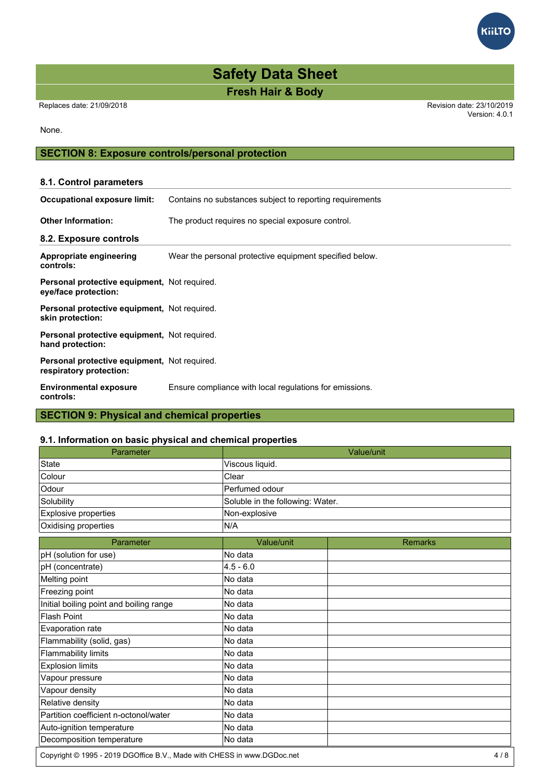Replaces date: 21/09/2018 Revision date: 23/10/2019 Version: 4.0.1

## None.

# **SECTION 8: Exposure controls/personal protection**

# **8.1. Control parameters Occupational exposure limit:** Contains no substances subject to reporting requirements **Other Information:** The product requires no special exposure control. **8.2. Exposure controls Appropriate engineering controls:** Wear the personal protective equipment specified below. **Personal protective equipment,** Not required. **eye/face protection: Personal protective equipment,** Not required. **skin protection: Personal protective equipment,** Not required. **hand protection: Personal protective equipment,** Not required. **respiratory protection: Environmental exposure controls:** Ensure compliance with local regulations for emissions.

# **SECTION 9: Physical and chemical properties**

## **9.1. Information on basic physical and chemical properties**

| Parameter                               |                                  | Value/unit     |
|-----------------------------------------|----------------------------------|----------------|
| <b>State</b>                            | Viscous liquid.                  |                |
| Colour                                  | Clear                            |                |
| Odour                                   | Perfumed odour                   |                |
| Solubility                              | Soluble in the following: Water. |                |
| Explosive properties                    | Non-explosive                    |                |
| Oxidising properties                    | N/A                              |                |
| Parameter                               | Value/unit                       | <b>Remarks</b> |
| pH (solution for use)                   | No data                          |                |
| pH (concentrate)                        | $4.5 - 6.0$                      |                |
| Melting point                           | No data                          |                |
| Freezing point                          | No data                          |                |
| Initial boiling point and boiling range | No data                          |                |
| <b>Flash Point</b>                      | No data                          |                |
| Evaporation rate                        | No data                          |                |
| Flammability (solid, gas)               | No data                          |                |
| <b>Flammability limits</b>              | No data                          |                |
| <b>Explosion limits</b>                 | No data                          |                |
| Vapour pressure                         | No data                          |                |
| Vapour density                          | No data                          |                |
| Relative density                        | No data                          |                |
| Partition coefficient n-octonol/water   | No data                          |                |
| Auto-ignition temperature               | No data                          |                |
| Decomposition temperature               | No data                          |                |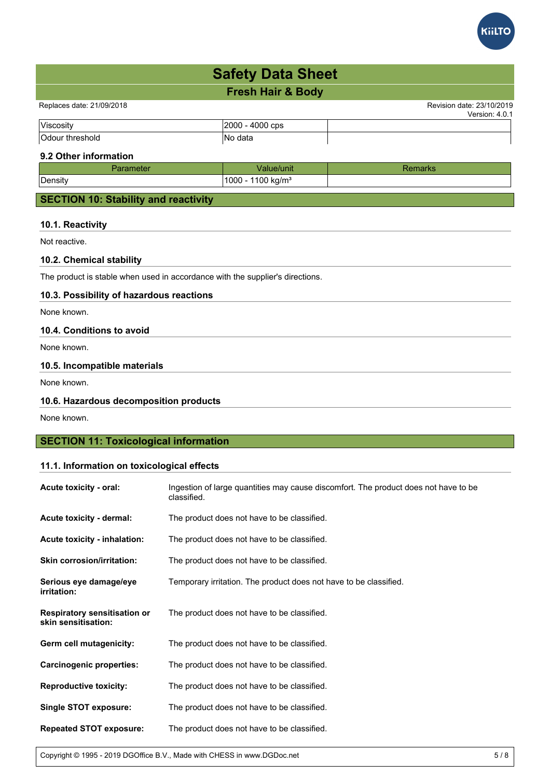

| <b>Safety Data Sheet</b> |                              |  |
|--------------------------|------------------------------|--|
|                          | <b>Fresh Hair &amp; Body</b> |  |

Replaces date: 21/09/2018 Revision date: 23/10/2019

|                    |             | . |
|--------------------|-------------|---|
| Viscos,            | muu<br>CDS  |   |
| החיי.<br>threshold | data<br>INo |   |

# **9.2 Other information**

| - 101   |                               |  |
|---------|-------------------------------|--|
| Density | $1100 \text{ kg/m}^3$<br>1000 |  |
|         |                               |  |

# **SECTION 10: Stability and reactivity**

## **10.1. Reactivity**

Not reactive.

# **10.2. Chemical stability**

The product is stable when used in accordance with the supplier's directions.

# **10.3. Possibility of hazardous reactions**

None known.

# **10.4. Conditions to avoid**

None known.

## **10.5. Incompatible materials**

None known.

# **10.6. Hazardous decomposition products**

None known.

# **SECTION 11: Toxicological information**

# **11.1. Information on toxicological effects**

| Acute toxicity - oral:                                     | Ingestion of large quantities may cause discomfort. The product does not have to be<br>classified. |
|------------------------------------------------------------|----------------------------------------------------------------------------------------------------|
| Acute toxicity - dermal:                                   | The product does not have to be classified.                                                        |
| Acute toxicity - inhalation:                               | The product does not have to be classified.                                                        |
| <b>Skin corrosion/irritation:</b>                          | The product does not have to be classified.                                                        |
| Serious eye damage/eye<br>irritation:                      | Temporary irritation. The product does not have to be classified.                                  |
| <b>Respiratory sensitisation or</b><br>skin sensitisation: | The product does not have to be classified.                                                        |
| Germ cell mutagenicity:                                    | The product does not have to be classified.                                                        |
| <b>Carcinogenic properties:</b>                            | The product does not have to be classified.                                                        |
| <b>Reproductive toxicity:</b>                              | The product does not have to be classified.                                                        |
| <b>Single STOT exposure:</b>                               | The product does not have to be classified.                                                        |
| <b>Repeated STOT exposure:</b>                             | The product does not have to be classified.                                                        |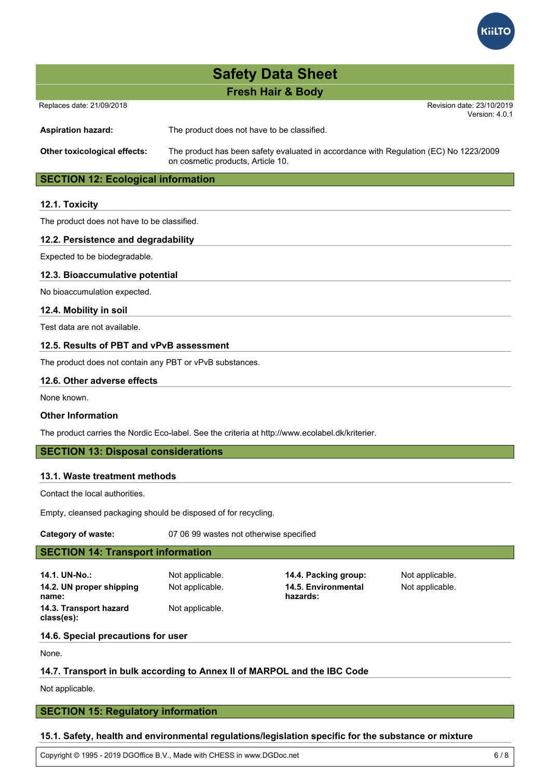

Replaces date: 21/09/2018 Revision date: 23/10/2019

Version: 4.0.1

**Aspiration hazard:** The product does not have to be classified.

**Other toxicological effects:** The product has been safety evaluated in accordance with Regulation (EC) No 1223/2009 on cosmetic products, Article 10.

# **SECTION 12: Ecological information**

# **12.1. Toxicity**

The product does not have to be classified.

## **12.2. Persistence and degradability**

Expected to be biodegradable.

## **12.3. Bioaccumulative potential**

No bioaccumulation expected.

## **12.4. Mobility in soil**

Test data are not available.

## **12.5. Results of PBT and vPvB assessment**

The product does not contain any PBT or vPvB substances.

### **12.6. Other adverse effects**

None known.

## **Other Information**

The product carries the Nordic Eco-label. See the criteria at http://www.ecolabel.dk/kriterier.

# **SECTION 13: Disposal considerations**

## **13.1. Waste treatment methods**

Contact the local authorities.

Empty, cleansed packaging should be disposed of for recycling.

**Category of waste:** 07 06 99 wastes not otherwise specified

# **SECTION 14: Transport information**

**14.1. UN-No.:** Not applicable. **14.4. Packing group:** Not applicable. **14.2. UN proper shipping name: 14.3. Transport hazard class(es):**

Not applicable.

Not applicable. **14.5. Environmental hazards:**

Not applicable.

## **14.6. Special precautions for user**

None.

# **14.7. Transport in bulk according to Annex II of MARPOL and the IBC Code**

Not applicable.

# **SECTION 15: Regulatory information**

## **15.1. Safety, health and environmental regulations/legislation specific for the substance or mixture**

Copyright © 1995 - 2019 DGOffice B.V., Made with CHESS in www.DGDoc.net 6 / 8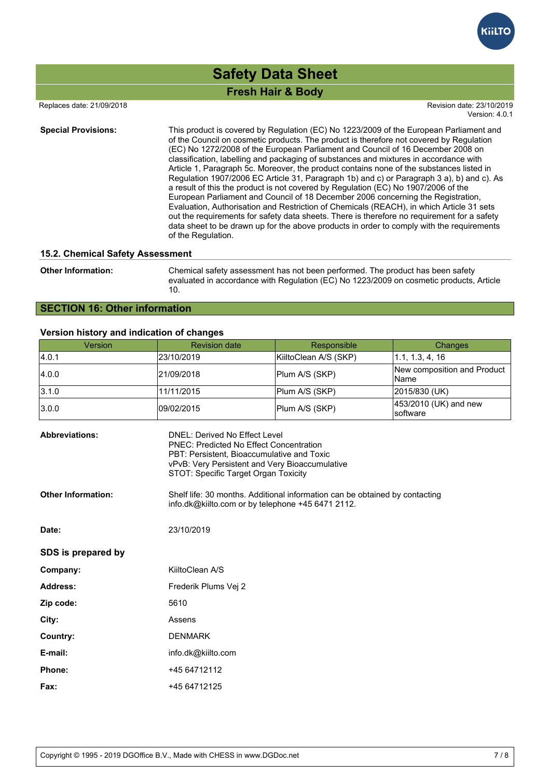

 Replaces date: 21/09/2018 Revision date: 23/10/2019 Version: 4.0.1

**Special Provisions:** This product is covered by Regulation (EC) No 1223/2009 of the European Parliament and of the Council on cosmetic products. The product is therefore not covered by Regulation (EC) No 1272/2008 of the European Parliament and Council of 16 December 2008 on classification, labelling and packaging of substances and mixtures in accordance with Article 1, Paragraph 5c. Moreover, the product contains none of the substances listed in Regulation 1907/2006 EC Article 31, Paragraph 1b) and c) or Paragraph 3 a), b) and c). As a result of this the product is not covered by Regulation (EC) No 1907/2006 of the European Parliament and Council of 18 December 2006 concerning the Registration, Evaluation, Authorisation and Restriction of Chemicals (REACH), in which Article 31 sets out the requirements for safety data sheets. There is therefore no requirement for a safety data sheet to be drawn up for the above products in order to comply with the requirements of the Regulation.

### **15.2. Chemical Safety Assessment**

**Other Information:** Chemical safety assessment has not been performed. The product has been safety evaluated in accordance with Regulation (EC) No 1223/2009 on cosmetic products, Article 10.

# **SECTION 16: Other information**

### **Version history and indication of changes**

| Version | <b>Revision date</b> | Responsible           | <b>Changes</b>                       |
|---------|----------------------|-----------------------|--------------------------------------|
| 4.0.1   | 23/10/2019           | KiiltoClean A/S (SKP) | 1.1, 1.3, 4, 16                      |
| 4.0.0   | 21/09/2018           | Plum A/S (SKP)        | New composition and Product<br>lName |
| 3.1.0   | 11/11/2015           | Plum A/S (SKP)        | 2015/830 (UK)                        |
| 3.0.0   | 09/02/2015           | Plum A/S (SKP)        | 453/2010 (UK) and new<br>Isoftware   |

| <b>Abbreviations:</b>     | DNEL: Derived No Effect Level<br><b>PNEC: Predicted No Effect Concentration</b><br>PBT: Persistent, Bioaccumulative and Toxic<br>vPvB: Very Persistent and Very Bioaccumulative<br>STOT: Specific Target Organ Toxicity |
|---------------------------|-------------------------------------------------------------------------------------------------------------------------------------------------------------------------------------------------------------------------|
| <b>Other Information:</b> | Shelf life: 30 months. Additional information can be obtained by contacting<br>info.dk@kiilto.com or by telephone +45 6471 2112.                                                                                        |
| Date:                     | 23/10/2019                                                                                                                                                                                                              |
| SDS is prepared by        |                                                                                                                                                                                                                         |
| Company:                  | KiiltoClean A/S                                                                                                                                                                                                         |
| Address:                  | Frederik Plums Vej 2                                                                                                                                                                                                    |
| Zip code:                 | 5610                                                                                                                                                                                                                    |
| City:                     | Assens                                                                                                                                                                                                                  |
| Country:                  | <b>DENMARK</b>                                                                                                                                                                                                          |
| E-mail:                   | info.dk@kiilto.com                                                                                                                                                                                                      |
| Phone:                    | +45 64712112                                                                                                                                                                                                            |
| Fax:                      | +45 64712125                                                                                                                                                                                                            |